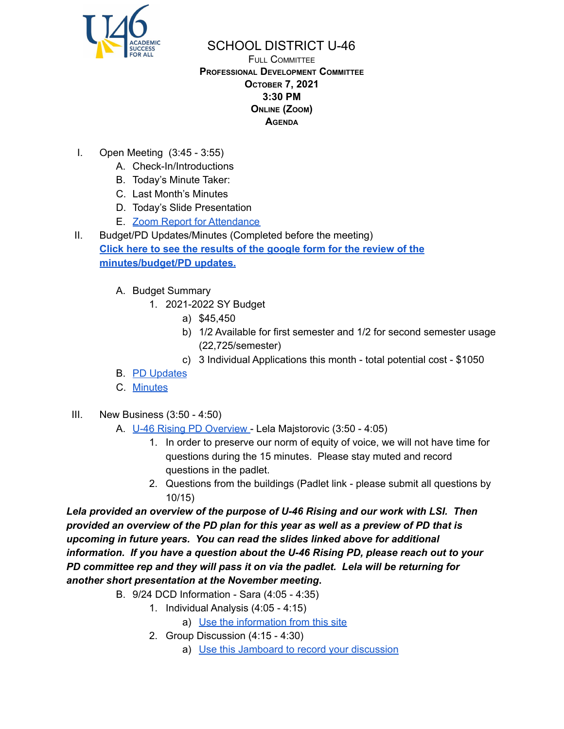

## SCHOOL DISTRICT U-46

FULL COMMITTEE **PROFESSIONAL DEVELOPMENT COMMITTEE OCTOBER 7, 2021 3:30 PM ONLINE (ZOOM) AGENDA**

- I. Open Meeting (3:45 3:55)
	- A. Check-In/Introductions
	- B. Today's Minute Taker:
	- C. Last Month's Minutes
	- D. Today's Slide Presentation
	- E. Zoom Report for [Attendance](https://docs.google.com/spreadsheets/d/1fNWlfMVFS9ZPFPKrT7g8fEt1SF6XoPoz/edit?usp=sharing&ouid=114155932067581146592&rtpof=true&sd=true)
- II. Budget/PD Updates/Minutes (Completed before the meeting) **Click here to see the [results](https://docs.google.com/spreadsheets/d/1MxZy2iTsYkguysIOtH3PzRIo61CfWF59ZyKMvXXDLZM/edit?usp=sharing) of the google form for the review of the [minutes/budget/PD](https://docs.google.com/spreadsheets/d/1MxZy2iTsYkguysIOtH3PzRIo61CfWF59ZyKMvXXDLZM/edit?usp=sharing) updates.**
	- A. Budget Summary
		- 1. 2021-2022 SY Budget
			- a) \$45,450
			- b) 1/2 Available for first semester and 1/2 for second semester usage (22,725/semester)
			- c) 3 Individual Applications this month total potential cost \$1050
	- B. PD [Updates](https://bit.ly/3myeZSb)
	- C. [Minutes](https://www.u-46.org/site/handlers/filedownload.ashx?moduleinstanceid=40057&dataid=64380&FileName=9-2-21%20Minutes%20PD%20FC.pdf)
- III. New Business (3:50 4:50)
	- A. U-46 Rising PD [Overview](https://docs.google.com/presentation/d/1M2TVEOebZ2jx-wMDZ1duZndhIr8l91Bj9wzvTuIcrc0/edit?usp=sharing) Lela Majstorovic (3:50 4:05)
		- 1. In order to preserve our norm of equity of voice, we will not have time for questions during the 15 minutes. Please stay muted and record questions in the padlet.
		- 2. Questions from the buildings (Padlet link please submit all questions by 10/15)

*Lela provided an overview of the purpose of U-46 Rising and our work with LSI. Then provided an overview of the PD plan for this year as well as a preview of PD that is upcoming in future years. You can read the slides linked above for additional information. If you have a question about the U-46 Rising PD, please reach out to your PD committee rep and they will pass it on via the padlet. Lela will be returning for another short presentation at the November meeting***.**

- B. 9/24 DCD Information Sara (4:05 4:35)
	- 1. Individual Analysis (4:05 4:15)
		- a) Use the [information](https://sites.google.com/u-46.org/924-dcd-summary/home) from this site
	- 2. Group Discussion (4:15 4:30)
		- a) Use this Jamboard to record your [discussion](https://jamboard.google.com/d/1q-x1nLMENeVDeHWJxxikuQONNc3mviPPc4KE0obfgdA/edit?usp=sharing)